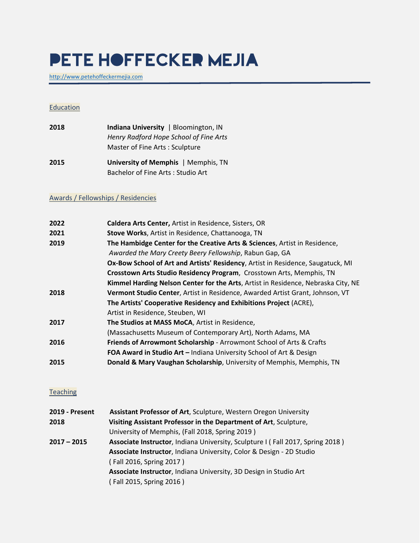# **PETE HOFFECKER MEJIA**

[http://www.petehoffeckermejia.com](http://www.petehoffeckermejia.com/)

#### **Education**

| 2018 | Indiana University   Bloomington, IN   |
|------|----------------------------------------|
|      | Henry Radford Hope School of Fine Arts |
|      | Master of Fine Arts: Sculpture         |

**2015 University of Memphis** | Memphis, TN Bachelor of Fine Arts : Studio Art

#### Awards / Fellowships / Residencies

| 2022 | Caldera Arts Center, Artist in Residence, Sisters, OR                             |
|------|-----------------------------------------------------------------------------------|
| 2021 | Stove Works, Artist in Residence, Chattanooga, TN                                 |
| 2019 | The Hambidge Center for the Creative Arts & Sciences, Artist in Residence,        |
|      | Awarded the Mary Creety Beery Fellowship, Rabun Gap, GA                           |
|      | Ox-Bow School of Art and Artists' Residency, Artist in Residence, Saugatuck, MI   |
|      | Crosstown Arts Studio Residency Program, Crosstown Arts, Memphis, TN              |
|      | Kimmel Harding Nelson Center for the Arts, Artist in Residence, Nebraska City, NE |
| 2018 | Vermont Studio Center, Artist in Residence, Awarded Artist Grant, Johnson, VT     |
|      | The Artists' Cooperative Residency and Exhibitions Project (ACRE),                |
|      | Artist in Residence, Steuben, WI                                                  |
| 2017 | The Studios at MASS MoCA, Artist in Residence,                                    |
|      | (Massachusetts Museum of Contemporary Art), North Adams, MA                       |
| 2016 | Friends of Arrowmont Scholarship - Arrowmont School of Arts & Crafts              |
|      | FOA Award in Studio Art - Indiana University School of Art & Design               |
| 2015 | Donald & Mary Vaughan Scholarship, University of Memphis, Memphis, TN             |
|      |                                                                                   |

#### **Teaching**

| 2019 - Present | Assistant Professor of Art, Sculpture, Western Oregon University               |
|----------------|--------------------------------------------------------------------------------|
| 2018           | Visiting Assistant Professor in the Department of Art, Sculpture,              |
|                | University of Memphis, (Fall 2018, Spring 2019)                                |
| 2017 – 2015    | Associate Instructor, Indiana University, Sculpture I (Fall 2017, Spring 2018) |
|                | Associate Instructor, Indiana University, Color & Design - 2D Studio           |
|                | (Fall 2016, Spring 2017)                                                       |
|                | Associate Instructor, Indiana University, 3D Design in Studio Art              |
|                | (Fall 2015, Spring 2016)                                                       |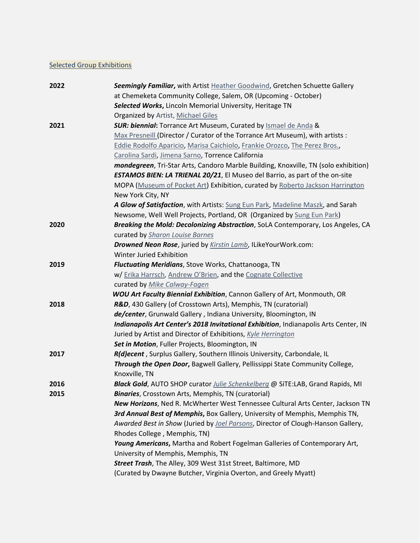## **Selected Group Exhibitions**

| 2022 | Seemingly Familiar, with Artist Heather Goodwind, Gretchen Schuette Gallery          |
|------|--------------------------------------------------------------------------------------|
|      | at Chemeketa Community College, Salem, OR (Upcoming - October)                       |
|      | Selected Works, Lincoln Memorial University, Heritage TN                             |
|      | Organized by Artist, Michael Giles                                                   |
| 2021 | <b>SUR: biennial:</b> Torrance Art Museum, Curated by <b>Ismael de Anda &amp;</b>    |
|      | Max Presneill (Director / Curator of the Torrance Art Museum), with artists :        |
|      | Eddie Rodolfo Aparicio, Marisa Caichiolo, Frankie Orozco, The Perez Bros.,           |
|      | Carolina Sardi, Jimena Sarno, Torrence California                                    |
|      | mondegreen, Tri-Star Arts, Candoro Marble Building, Knoxville, TN (solo exhibition)  |
|      | <b>ESTAMOS BIEN: LA TRIENAL 20/21</b> , El Museo del Barrio, as part of the on-site  |
|      | MOPA (Museum of Pocket Art) Exhibition, curated by Roberto Jackson Harrington        |
|      | New York City, NY                                                                    |
|      | A Glow of Satisfaction, with Artists: Sung Eun Park, Madeline Maszk, and Sarah       |
|      | Newsome, Well Well Projects, Portland, OR (Organized by Sung Eun Park)               |
| 2020 | Breaking the Mold: Decolonizing Abstraction, SoLA Contemporary, Los Angeles, CA      |
|      | curated by Sharon Louise Barnes                                                      |
|      | Drowned Neon Rose, juried by Kirstin Lamb, ILikeYourWork.com:                        |
|      | Winter Juried Exhibition                                                             |
| 2019 | <b>Fluctuating Meridians, Stove Works, Chattanooga, TN</b>                           |
|      | w/ Erika Harrsch, Andrew O'Brien, and the Cognate Collective                         |
|      | curated by Mike Calway-Fagen                                                         |
|      | <b>WOU Art Faculty Biennial Exhibition</b> , Cannon Gallery of Art, Monmouth, OR     |
| 2018 | R&D, 430 Gallery (of Crosstown Arts), Memphis, TN (curatorial)                       |
|      | de/center, Grunwald Gallery, Indiana University, Bloomington, IN                     |
|      | Indianapolis Art Center's 2018 Invitational Exhibition, Indianapolis Arts Center, IN |
|      | Juried by Artist and Director of Exhibitions, Kyle Herrington                        |
|      | Set in Motion, Fuller Projects, Bloomington, IN                                      |
| 2017 | R(d)ecent, Surplus Gallery, Southern Illinois University, Carbondale, IL             |
|      | Through the Open Door, Bagwell Gallery, Pellissippi State Community College,         |
|      | Knoxville, TN                                                                        |
| 2016 | Black Gold, AUTO SHOP curator Julie Schenkelberg @ SiTE:LAB, Grand Rapids, MI        |
| 2015 | <b>Binaries</b> , Crosstown Arts, Memphis, TN (curatorial)                           |
|      | New Horizons, Ned R. McWherter West Tennessee Cultural Arts Center, Jackson TN       |
|      | 3rd Annual Best of Memphis, Box Gallery, University of Memphis, Memphis TN,          |
|      | Awarded Best in Show (Juried by Joel Parsons, Director of Clough-Hanson Gallery,     |
|      | Rhodes College, Memphis, TN)                                                         |
|      | Young Americans, Martha and Robert Fogelman Galleries of Contemporary Art,           |
|      | University of Memphis, Memphis, TN                                                   |
|      | Street Trash, The Alley, 309 West 31st Street, Baltimore, MD                         |
|      | (Curated by Dwayne Butcher, Virginia Overton, and Greely Myatt)                      |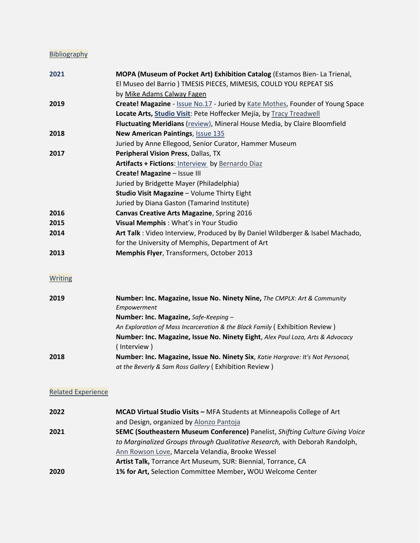# **Bibliography**

| 2021                      | MOPA (Museum of Pocket Art) Exhibition Catalog (Estamos Bien- La Trienal,       |
|---------------------------|---------------------------------------------------------------------------------|
|                           | El Museo del Barrio) TMESIS PIECES, MIMESIS, COULD YOU REPEAT SIS               |
|                           | by Mike Adams Calway Fagen                                                      |
| 2019                      | Create! Magazine - Issue No.17 - Juried by Kate Mothes, Founder of Young Space  |
|                           | Locate Arts, Studio Visit: Pete Hoffecker Mejía, by Tracy Treadwell             |
|                           | Fluctuating Meridians (review), Mineral House Media, by Claire Bloomfield       |
| 2018                      | <b>New American Paintings, Issue 135</b>                                        |
|                           | Juried by Anne Ellegood, Senior Curator, Hammer Museum                          |
| 2017                      | Peripheral Vision Press, Dallas, TX                                             |
|                           | Artifacts + Fictions: Interview by Bernardo Diaz                                |
|                           | Create! Magazine - Issue III                                                    |
|                           | Juried by Bridgette Mayer (Philadelphia)                                        |
|                           | Studio Visit Magazine - Volume Thirty Eight                                     |
|                           | Juried by Diana Gaston (Tamarind Institute)                                     |
| 2016                      | Canvas Creative Arts Magazine, Spring 2016                                      |
| 2015                      | Visual Memphis: What's in Your Studio                                           |
| 2014                      | Art Talk: Video Interview, Produced by By Daniel Wildberger & Isabel Machado,   |
|                           | for the University of Memphis, Department of Art                                |
| 2013                      | Memphis Flyer, Transformers, October 2013                                       |
|                           |                                                                                 |
| <b>Writing</b>            |                                                                                 |
| 2019                      | Number: Inc. Magazine, Issue No. Ninety Nine, The CMPLX: Art & Community        |
|                           | Empowerment                                                                     |
|                           | Number: Inc. Magazine, Safe-Keeping -                                           |
|                           | An Exploration of Mass Incarceration & the Black Family (Exhibition Review)     |
|                           | Number: Inc. Magazine, Issue No. Ninety Eight, Alex Paul Loza, Arts & Advocacy  |
|                           | (Interview)                                                                     |
| 2018                      | Number: Inc. Magazine, Issue No. Ninety Six, Katie Hargrave: It's Not Personal, |
|                           | at the Beverly & Sam Ross Gallery (Exhibition Review)                           |
| <b>Related Experience</b> |                                                                                 |
|                           |                                                                                 |
| 2022                      | MCAD Virtual Studio Visits - MFA Students at Minneapolis College of Art         |
|                           | and Design, organized by Alonzo Pantoja                                         |
| 2021                      | SEMC (Southeastern Museum Conference) Panelist, Shifting Culture Giving Voice   |
|                           | to Marginalized Groups through Qualitative Research, with Deborah Randolph,     |
|                           | Ann Rowson Love, Marcela Velandia, Brooke Wessel                                |
|                           | Artist Talk, Torrance Art Museum, SUR: Biennial, Torrance, CA                   |
| 2020                      | 1% for Art, Selection Committee Member, WOU Welcome Center                      |